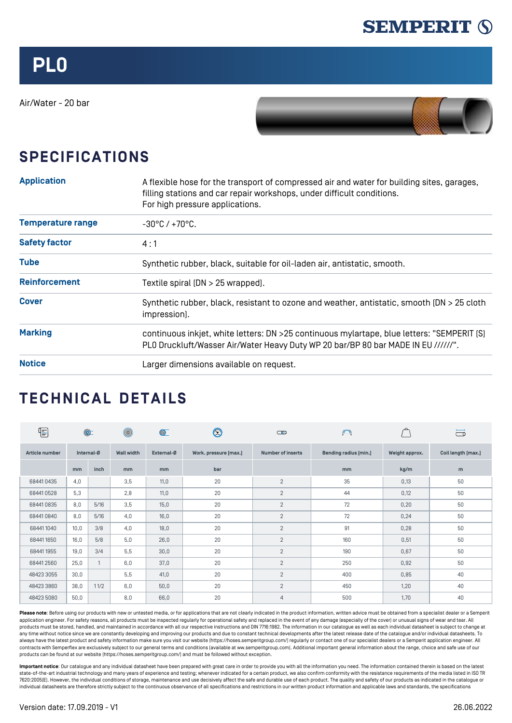

Air/Water - 20 bar



## **SPECIFICATIONS**

| <b>Application</b>       | A flexible hose for the transport of compressed air and water for building sites, garages,<br>filling stations and car repair workshops, under difficult conditions.<br>For high pressure applications. |  |  |  |  |  |  |
|--------------------------|---------------------------------------------------------------------------------------------------------------------------------------------------------------------------------------------------------|--|--|--|--|--|--|
| <b>Temperature range</b> | $-30^{\circ}$ C / $+70^{\circ}$ C.                                                                                                                                                                      |  |  |  |  |  |  |
| <b>Safety factor</b>     | 4:1                                                                                                                                                                                                     |  |  |  |  |  |  |
| <b>Tube</b>              | Synthetic rubber, black, suitable for oil-laden air, antistatic, smooth.                                                                                                                                |  |  |  |  |  |  |
| <b>Reinforcement</b>     | Textile spiral (DN > 25 wrapped).                                                                                                                                                                       |  |  |  |  |  |  |
| <b>Cover</b>             | Synthetic rubber, black, resistant to ozone and weather, antistatic, smooth [DN > 25 cloth<br>impression].                                                                                              |  |  |  |  |  |  |
| <b>Marking</b>           | continuous inkjet, white letters: DN >25 continuous mylartape, blue letters: "SEMPERIT [S]<br>PLO Druckluft/Wasser Air/Water Heavy Duty WP 20 bar/BP 80 bar MADE IN EU //////".                         |  |  |  |  |  |  |
| <b>Notice</b>            | Larger dimensions available on request.                                                                                                                                                                 |  |  |  |  |  |  |

## **TECHNICAL DETAILS**

| $\boxed{\frac{1}{\text{max}}}% \quad \text{and} \quad \text{for each } \text{ and } \text{ is a constant.} \label{eq:2.1}$ | $\circledcirc$ |      | $\circledcirc$    | $\circledcirc$ | $\bm{\mathfrak{D}}$   | ര                        | $\bigcap$             |                | ా                  |
|----------------------------------------------------------------------------------------------------------------------------|----------------|------|-------------------|----------------|-----------------------|--------------------------|-----------------------|----------------|--------------------|
| Article number                                                                                                             | Internal-Ø     |      | <b>Wall width</b> | External-Ø     | Work. pressure [max.] | <b>Number of inserts</b> | Bending radius [min.] | Weight approx. | Coil length [max.] |
|                                                                                                                            | mm             | inch | mm                | m <sub>m</sub> | bar                   |                          | <sub>mm</sub>         | kg/m           | m                  |
| 684410435                                                                                                                  | 4,0            |      | 3,5               | 11,0           | 20                    | $\overline{2}$           | 35                    | 0,13           | 50                 |
| 684410528                                                                                                                  | 5,3            |      | 2,8               | 11,0           | 20                    | $\overline{2}$           | 44                    | 0,12           | 50                 |
| 684410835                                                                                                                  | 8,0            | 5/16 | 3,5               | 15,0           | 20                    | $\overline{2}$           | 72                    | 0,20           | 50                 |
| 684410840                                                                                                                  | 8,0            | 5/16 | 4,0               | 16,0           | 20                    | $\overline{2}$           | 72                    | 0,24           | 50                 |
| 684411040                                                                                                                  | 10,0           | 3/8  | 4.0               | 18,0           | 20                    | $\overline{2}$           | 91                    | 0,28           | 50                 |
| 684411650                                                                                                                  | 16,0           | 5/8  | 5,0               | 26,0           | 20                    | 2                        | 160                   | 0,51           | 50                 |
| 684411955                                                                                                                  | 19,0           | 3/4  | 5,5               | 30,0           | 20                    | $\overline{2}$           | 190                   | 0,67           | 50                 |
| 684412560                                                                                                                  | 25,0           |      | 6,0               | 37,0           | 20                    | $\overline{2}$           | 250                   | 0,92           | 50                 |
| 48423 3055                                                                                                                 | 30,0           |      | 5,5               | 41,0           | 20                    | $\overline{2}$           | 400                   | 0,85           | 40                 |
| 48423 3860                                                                                                                 | 38,0           | 11/2 | 6,0               | 50,0           | 20                    | $\overline{2}$           | 450                   | 1,20           | 40                 |
| 48423 5080                                                                                                                 | 50,0           |      | 8,0               | 66,0           | 20                    | 4                        | 500                   | 1,70           | 40                 |

Please note: Before using our products with new or untested media, or for applications that are not clearly indicated in the product information, written advice must be obtained from a specialist dealer or a Semperit application engineer. For safety reasons, all products must be inspected regularly for operational safety and replaced in the event of any damage (especially of the cover) or unusual signs of wear and tear. All products must be stored, handled, and maintained in accordance with all our respective instructions and DIN 7716:1982. The information in our catalogue as well as each individual datasheet is subject to change at any time without notice since we are constantly developing and improving our products and due to constant technical developments after the latest release date of the catalogue and/or individual datasheets. To always have the latest product and safety information make sure you visit our website ([https://hoses.semperitgroup.com/\)](https://hoses.semperitgroup.com/) regularly or contact one of our specialist dealers or a Semperit application engineer. All contracts with Semperflex are exclusively subject to our general terms and conditions (available at ww.semperitgroup.com). Additional important general information about the range, choice and safe use of our products can be found at our website (<https://hoses.semperitgroup.com/>) and must be followed without exception.

**Important notice**: Our catalogue and any individual datasheet have been prepared with great care in order to provide you with all the information you need. The information contained therein is based on the latest state-of-the-art industrial technology and many years of experience and testing; whenever indicated for a certain product, we also confirm conformity with the resistance requirements of the media listed in ISO TR 7620:2005(E). However, the individual conditions of storage, maintenance and use decisively affect the safe and durable use of each product. The quality and safety of our products as indicated in the catalogue or individual datasheets are therefore strictly subject to the continuous observance of all specifications and restrictions in our written product information and applicable laws and standards, the specifications